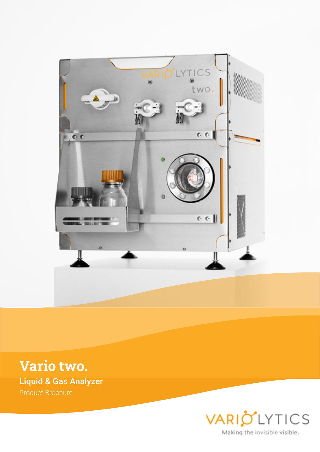

**Vario two.** Liquid & Gas Analyzer Product Brochure

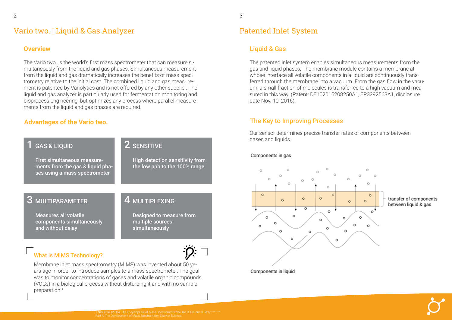## Vario two. | Liquid & Gas Analyzer

The Vario two. is the world's first mass spectrometer that can measure simultaneously from the liquid and gas phases. Simultaneous measurement from the liquid and gas dramatically increases the benefits of mass spectrometry relative to the initial cost. The combined liquid and gas measurement is patented by Variolytics and is not offered by any other supplier. The liquid and gas analyzer is particularly used for fermentation monitoring and bioprocess engineering, but optimizes any process where parallel measurements from the liquid and gas phases are required.

## What is MIMS Technology?



Membrane inlet mass spectrometry (MIMS) was invented about 50 years ago in order to introduce samples to a mass spectrometer. The goal was to monitor concentrations of gases and volatile organic compounds (VOCs) in a biological process without disturbing it and with no sample preparation.<sup>1</sup>



#### **Overview**

#### **Advantages of the Vario two.**

# Patented Inlet System

The patented inlet system enables simultaneous measurements from the gas and liquid phases. The membrane module contains a membrane at whose interface all volatile components in a liquid are continuously transferred through the membrane into a vacuum. From the gas flow in the vacuum, a small fraction of molecules is transferred to a high vacuum and measured in this way. (Patent: DE102015208250A1, EP3292563A1, disclosure date Nov. 10, 2016).

Our sensor determines precise transfer rates of components between gases and liquids.

#### Components in gas



#### Liquid & Gas

### The Key to Improving Processes

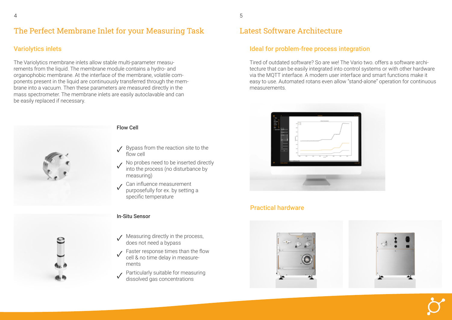# The Perfect Membrane Inlet for your Measuring Task





The Variolytics membrane inlets allow stable multi-parameter measurements from the liquid. The membrane module contains a hydro- and organophobic membrane. At the interface of the membrane, volatile components present in the liquid are continuously transferred through the membrane into a vacuum. Then these parameters are measured directly in the mass spectrometer. The membrane inlets are easily autoclavable and can be easily replaced if necessary.



- $\sqrt{\frac{B}{2}}$  Bypass from the reaction site to the flow cell
- No probes need to be inserted directly into the process (no disturbance by measuring)  $\sqrt{2}$
- Can influence measurement purposefully for ex. by setting a specific temperature ✓

#### Flow Cell

## Variolytics inlets

#### In-Situ Sensor

- Measuring directly in the process, does not need a bypass ✓
- Faster response times than the flow cell & no time delay in measurements ✓
- Particularly suitable for measuring dissolved gas concentrations ✓

## Latest Software Architecture

Tired of outdated software? So are we! The Vario two. offers a software architecture that can be easily integrated into control systems or with other hardware via the MQTT interface. A modern user interface and smart functions make it easy to use. Automated rotans even allow "stand-alone" operation for continuous measurements.



### Ideal for problem-free process integration

### Practical hardware

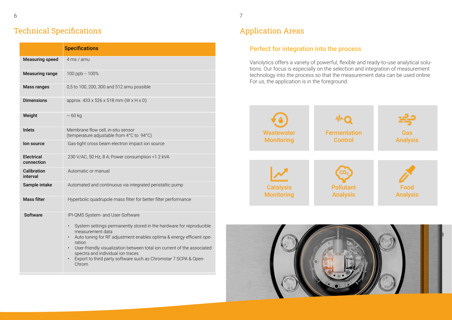# Technical Specifications

|                                 | <b>Specifications</b>                                                                                                                                                                                                                                                                                                                                                                             |
|---------------------------------|---------------------------------------------------------------------------------------------------------------------------------------------------------------------------------------------------------------------------------------------------------------------------------------------------------------------------------------------------------------------------------------------------|
| <b>Measuring speed</b>          | 4 ms / amu                                                                                                                                                                                                                                                                                                                                                                                        |
| <b>Measuring range</b>          | 100 ppb -- 100%                                                                                                                                                                                                                                                                                                                                                                                   |
| <b>Mass ranges</b>              | 0,5 to 100, 200, 300 and 512 amu possible                                                                                                                                                                                                                                                                                                                                                         |
| <b>Dimensions</b>               | approx. $433 \times 526 \times 518$ mm (W x H x D)                                                                                                                                                                                                                                                                                                                                                |
| Weight                          | $\sim 60$ kg                                                                                                                                                                                                                                                                                                                                                                                      |
| <b>Inlets</b>                   | Membrane flow cell, in-situ sensor<br>(temperature adjustable from 4°C to 94°C)                                                                                                                                                                                                                                                                                                                   |
| lon source                      | Gas-tight cross beam electron impact ion source                                                                                                                                                                                                                                                                                                                                                   |
| <b>Electrical</b><br>connection | 230 V/AC, 50 Hz, 8 A; Power consumption <1.2 kVA                                                                                                                                                                                                                                                                                                                                                  |
| <b>Calibration</b><br>interval  | Automatic or manual                                                                                                                                                                                                                                                                                                                                                                               |
| Sample intake                   | Automated and continuous via integrated peristaltic pump                                                                                                                                                                                                                                                                                                                                          |
| <b>Mass filter</b>              | Hyperbolic quadrupole mass filter for better filter performance                                                                                                                                                                                                                                                                                                                                   |
| <b>Software</b>                 | IPI-QMS System- and User-Software<br>System settings permanently stored in the hardware for reproducible<br>measurement data<br>Auto tuning for RF adjustment enables optima & energy efficient ope-<br>ration<br>User-friendly visualization between total ion current of the associated<br>spectra and individual ion traces<br>Export to third party software such as Chromstar 7 SCPA & Open- |
|                                 | Chrom                                                                                                                                                                                                                                                                                                                                                                                             |

# Application Areas

## Perfect for integration into the process





Variolytics offers a variety of powerful, flexible and ready-to-use analytical solutions. Our focus is especially on the selection and integration of measurement technology into the process so that the measurement data can be used online. For us, the application is in the foreground.